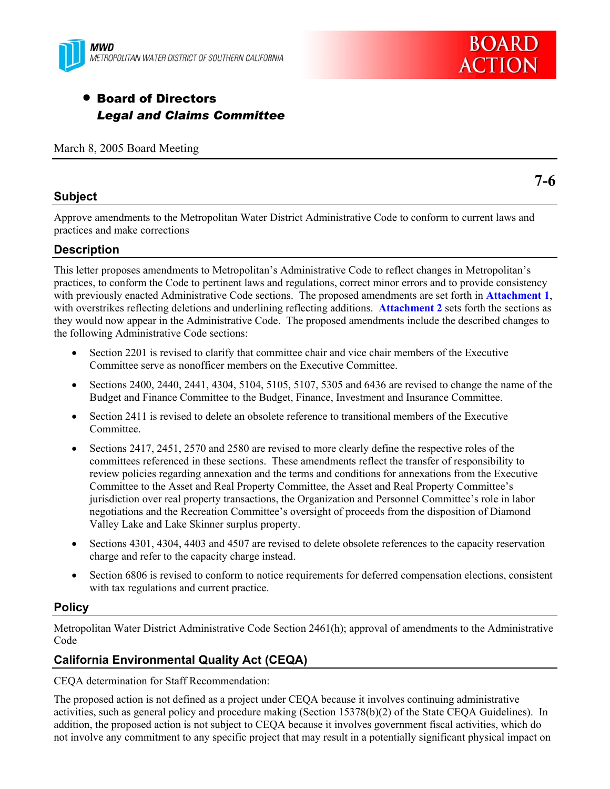



# • Board of Directors *Legal and Claims Committee*

March 8, 2005 Board Meeting

#### **Subject**

**7-6** 

Approve amendments to the Metropolitan Water District Administrative Code to conform to current laws and practices and make corrections

# **Description**

This letter proposes amendments to Metropolitan's Administrative Code to reflect changes in Metropolitan's practices, to conform the Code to pertinent laws and regulations, correct minor errors and to provide consistency with previously enacted Administrative Code sections. The proposed amendments are set forth in **Attachment 1**, with overstrikes reflecting deletions and underlining reflecting additions. **Attachment 2** sets forth the sections as they would now appear in the Administrative Code. The proposed amendments include the described changes to the following Administrative Code sections:

- Section 2201 is revised to clarify that committee chair and vice chair members of the Executive Committee serve as nonofficer members on the Executive Committee.
- Sections 2400, 2440, 2441, 4304, 5104, 5105, 5107, 5305 and 6436 are revised to change the name of the Budget and Finance Committee to the Budget, Finance, Investment and Insurance Committee.
- Section 2411 is revised to delete an obsolete reference to transitional members of the Executive Committee.
- Sections 2417, 2451, 2570 and 2580 are revised to more clearly define the respective roles of the committees referenced in these sections. These amendments reflect the transfer of responsibility to review policies regarding annexation and the terms and conditions for annexations from the Executive Committee to the Asset and Real Property Committee, the Asset and Real Property Committee's jurisdiction over real property transactions, the Organization and Personnel Committee's role in labor negotiations and the Recreation Committee's oversight of proceeds from the disposition of Diamond Valley Lake and Lake Skinner surplus property.
- Sections 4301, 4304, 4403 and 4507 are revised to delete obsolete references to the capacity reservation charge and refer to the capacity charge instead.
- Section 6806 is revised to conform to notice requirements for deferred compensation elections, consistent with tax regulations and current practice.

## **Policy**

Metropolitan Water District Administrative Code Section 2461(h); approval of amendments to the Administrative Code

# **California Environmental Quality Act (CEQA)**

CEQA determination for Staff Recommendation:

The proposed action is not defined as a project under CEQA because it involves continuing administrative activities, such as general policy and procedure making (Section 15378(b)(2) of the State CEQA Guidelines). In addition, the proposed action is not subject to CEQA because it involves government fiscal activities, which do not involve any commitment to any specific project that may result in a potentially significant physical impact on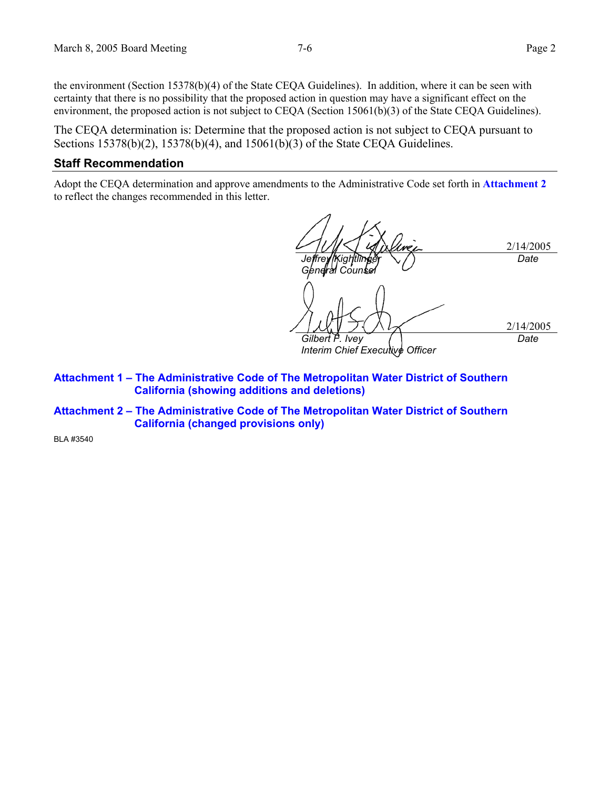the environment (Section 15378(b)(4) of the State CEQA Guidelines). In addition, where it can be seen with certainty that there is no possibility that the proposed action in question may have a significant effect on the environment, the proposed action is not subject to CEQA (Section 15061(b)(3) of the State CEQA Guidelines).

The CEQA determination is: Determine that the proposed action is not subject to CEQA pursuant to Sections 15378(b)(2), 15378(b)(4), and 15061(b)(3) of the State CEOA Guidelines.

#### **Staff Recommendation**

Adopt the CEQA determination and approve amendments to the Administrative Code set forth in **Attachment 2** to reflect the changes recommended in this letter.

2/14/2005 *Jeffrey |Kightlinger <i>General Counsel Date*  2/14/2005 *Gilbert F. Ivey Interim Chief Executive Officer Date* 

**Attachment 1 – The Administrative Code of The Metropolitan Water District of Southern California (showing additions and deletions)** 

**Attachment 2 – The Administrative Code of The Metropolitan Water District of Southern California (changed provisions only)** 

BLA #3540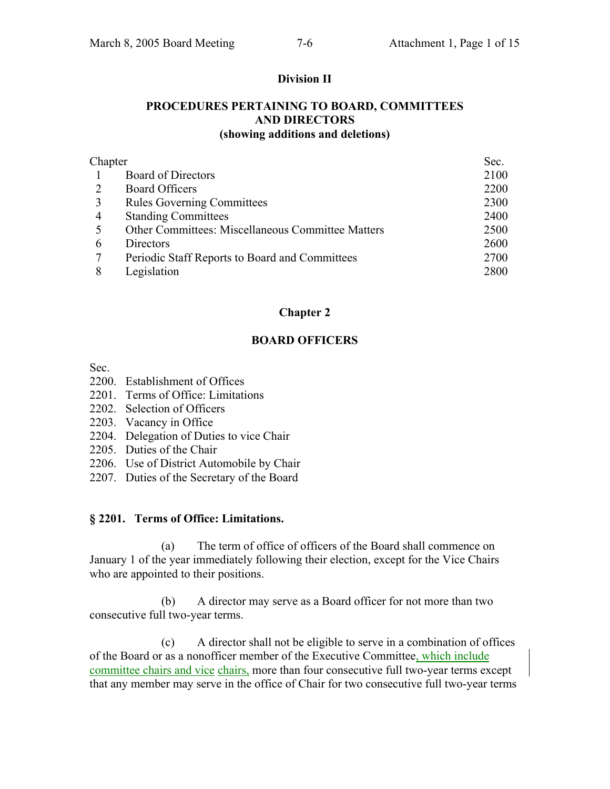#### **Division II**

#### **PROCEDURES PERTAINING TO BOARD, COMMITTEES AND DIRECTORS (showing additions and deletions)**

| Chapter |                                                   | Sec. |
|---------|---------------------------------------------------|------|
|         | <b>Board of Directors</b>                         | 2100 |
|         | <b>Board Officers</b>                             | 2200 |
| 3       | <b>Rules Governing Committees</b>                 | 2300 |
| 4       | <b>Standing Committees</b>                        | 2400 |
| 5       | Other Committees: Miscellaneous Committee Matters | 2500 |
| 6       | Directors                                         | 2600 |
|         | Periodic Staff Reports to Board and Committees    | 2700 |
| 8       | Legislation                                       | 2800 |

#### **Chapter 2**

#### **BOARD OFFICERS**

Sec.

- 2200. Establishment of Offices
- 2201. Terms of Office: Limitations
- 2202. Selection of Officers
- 2203. Vacancy in Office
- 2204. Delegation of Duties to vice Chair
- 2205. Duties of the Chair
- 2206. Use of District Automobile by Chair
- 2207. Duties of the Secretary of the Board

#### **§ 2201. Terms of Office: Limitations.**

 (a) The term of office of officers of the Board shall commence on January 1 of the year immediately following their election, except for the Vice Chairs who are appointed to their positions.

 (b) A director may serve as a Board officer for not more than two consecutive full two-year terms.

 (c) A director shall not be eligible to serve in a combination of offices of the Board or as a nonofficer member of the Executive Committee, which include committee chairs and vice chairs, more than four consecutive full two-year terms except that any member may serve in the office of Chair for two consecutive full two-year terms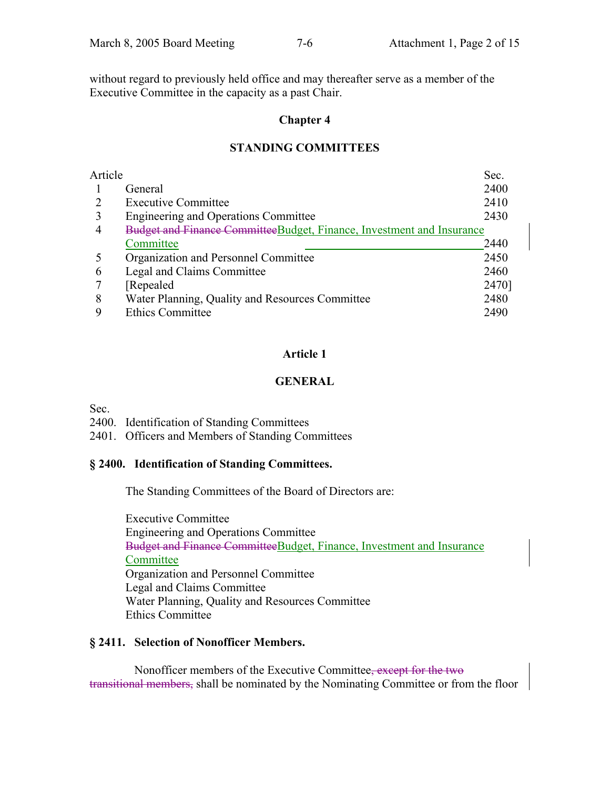without regard to previously held office and may thereafter serve as a member of the Executive Committee in the capacity as a past Chair.

#### **Chapter 4**

## **STANDING COMMITTEES**

| Article |                                                                       | Sec.  |
|---------|-----------------------------------------------------------------------|-------|
|         | General                                                               | 2400  |
|         | <b>Executive Committee</b>                                            | 2410  |
| 3       | Engineering and Operations Committee                                  | 2430  |
| 4       | Budget and Finance CommitteeBudget, Finance, Investment and Insurance |       |
|         | Committee                                                             | 2440  |
|         | Organization and Personnel Committee                                  | 2450  |
| 6       | Legal and Claims Committee                                            | 2460  |
|         | Repealed                                                              | 2470] |
| 8       | Water Planning, Quality and Resources Committee                       | 2480  |
|         | <b>Ethics Committee</b>                                               | 2490  |

## **Article 1**

# **GENERAL**

Sec.

2400. Identification of Standing Committees

2401. Officers and Members of Standing Committees

## **§ 2400. Identification of Standing Committees.**

The Standing Committees of the Board of Directors are:

 Executive Committee Engineering and Operations Committee Budget and Finance CommitteeBudget, Finance, Investment and Insurance **Committee**  Organization and Personnel Committee Legal and Claims Committee Water Planning, Quality and Resources Committee Ethics Committee

## **§ 2411. Selection of Nonofficer Members.**

 Nonofficer members of the Executive Committee, except for the two transitional members, shall be nominated by the Nominating Committee or from the floor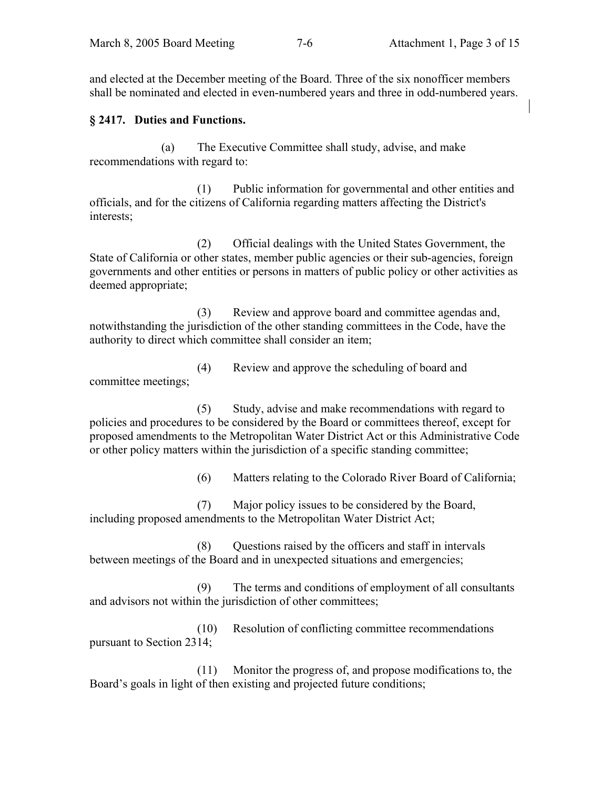and elected at the December meeting of the Board. Three of the six nonofficer members shall be nominated and elected in even-numbered years and three in odd-numbered years.

# **§ 2417. Duties and Functions.**

 (a) The Executive Committee shall study, advise, and make recommendations with regard to:

 (1) Public information for governmental and other entities and officials, and for the citizens of California regarding matters affecting the District's interests;

 (2) Official dealings with the United States Government, the State of California or other states, member public agencies or their sub-agencies, foreign governments and other entities or persons in matters of public policy or other activities as deemed appropriate;

 (3) Review and approve board and committee agendas and, notwithstanding the jurisdiction of the other standing committees in the Code, have the authority to direct which committee shall consider an item;

 (4) Review and approve the scheduling of board and committee meetings;

 (5) Study, advise and make recommendations with regard to policies and procedures to be considered by the Board or committees thereof, except for proposed amendments to the Metropolitan Water District Act or this Administrative Code or other policy matters within the jurisdiction of a specific standing committee;

(6) Matters relating to the Colorado River Board of California;

 (7) Major policy issues to be considered by the Board, including proposed amendments to the Metropolitan Water District Act;

 (8) Questions raised by the officers and staff in intervals between meetings of the Board and in unexpected situations and emergencies;

 (9) The terms and conditions of employment of all consultants and advisors not within the jurisdiction of other committees;

 (10) Resolution of conflicting committee recommendations pursuant to Section 2314;

 (11) Monitor the progress of, and propose modifications to, the Board's goals in light of then existing and projected future conditions;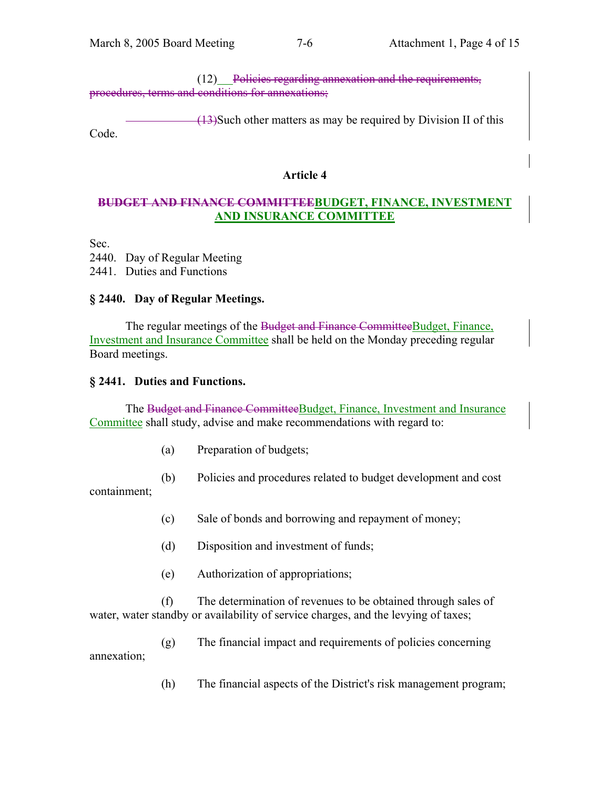(12) Policies regarding annexation and the requirements, procedures, terms and conditions for annexations;

(13)Such other matters as may be required by Division II of this Code.

## **Article 4**

# **BUDGET AND FINANCE COMMITTEEBUDGET, FINANCE, INVESTMENT AND INSURANCE COMMITTEE**

Sec.

2440. Day of Regular Meeting 2441. Duties and Functions

# **§ 2440. Day of Regular Meetings.**

 The regular meetings of the Budget and Finance CommitteeBudget, Finance, Investment and Insurance Committee shall be held on the Monday preceding regular Board meetings.

#### **§ 2441. Duties and Functions.**

 The Budget and Finance CommitteeBudget, Finance, Investment and Insurance Committee shall study, advise and make recommendations with regard to:

- (a) Preparation of budgets;
- (b) Policies and procedures related to budget development and cost

containment;

- (c) Sale of bonds and borrowing and repayment of money;
- (d) Disposition and investment of funds;
- (e) Authorization of appropriations;

 (f) The determination of revenues to be obtained through sales of water, water standby or availability of service charges, and the levying of taxes;

 (g) The financial impact and requirements of policies concerning annexation;

(h) The financial aspects of the District's risk management program;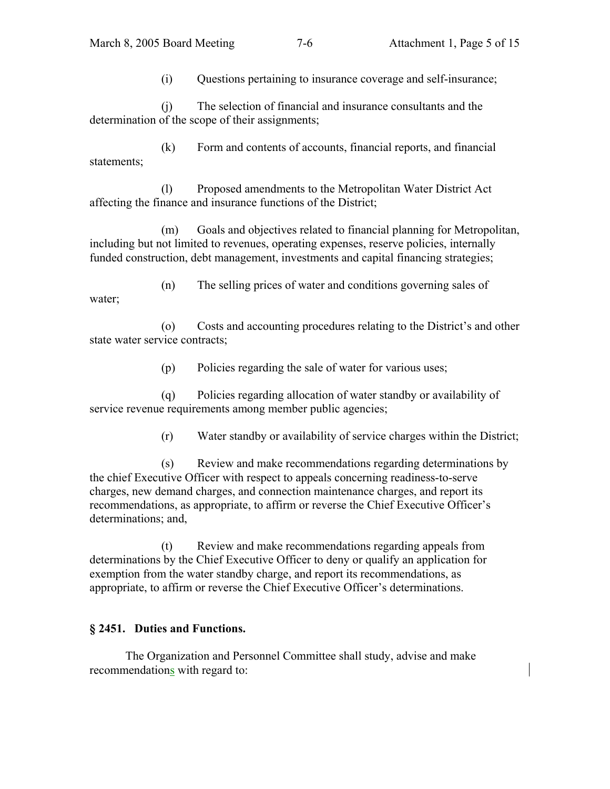(i) Questions pertaining to insurance coverage and self-insurance;

 (j) The selection of financial and insurance consultants and the determination of the scope of their assignments;

 (k) Form and contents of accounts, financial reports, and financial statements;

 (l) Proposed amendments to the Metropolitan Water District Act affecting the finance and insurance functions of the District;

 (m) Goals and objectives related to financial planning for Metropolitan, including but not limited to revenues, operating expenses, reserve policies, internally funded construction, debt management, investments and capital financing strategies;

 (n) The selling prices of water and conditions governing sales of water;

 (o) Costs and accounting procedures relating to the District's and other state water service contracts;

(p) Policies regarding the sale of water for various uses;

 (q) Policies regarding allocation of water standby or availability of service revenue requirements among member public agencies;

(r) Water standby or availability of service charges within the District;

 (s) Review and make recommendations regarding determinations by the chief Executive Officer with respect to appeals concerning readiness-to-serve charges, new demand charges, and connection maintenance charges, and report its recommendations, as appropriate, to affirm or reverse the Chief Executive Officer's determinations; and,

 (t) Review and make recommendations regarding appeals from determinations by the Chief Executive Officer to deny or qualify an application for exemption from the water standby charge, and report its recommendations, as appropriate, to affirm or reverse the Chief Executive Officer's determinations.

# **§ 2451. Duties and Functions.**

 The Organization and Personnel Committee shall study, advise and make recommendations with regard to: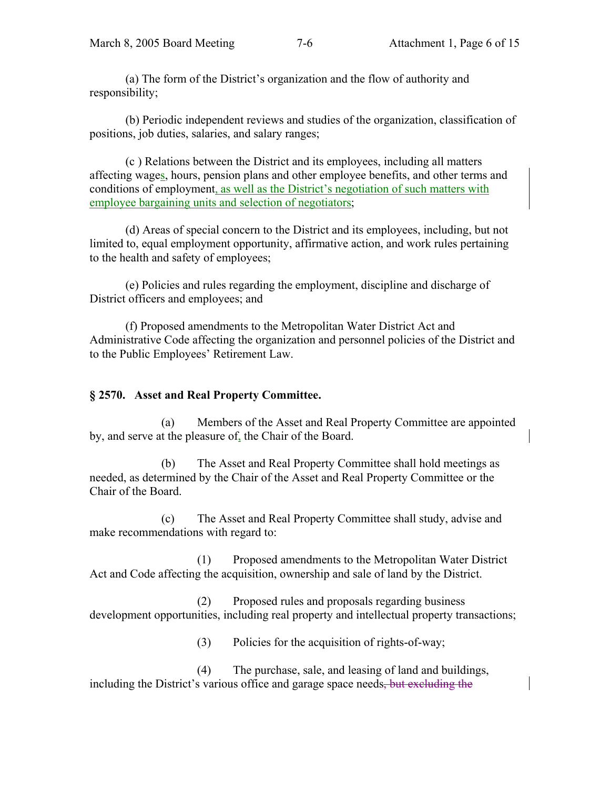(a) The form of the District's organization and the flow of authority and responsibility;

 (b) Periodic independent reviews and studies of the organization, classification of positions, job duties, salaries, and salary ranges;

 (c ) Relations between the District and its employees, including all matters affecting wages, hours, pension plans and other employee benefits, and other terms and conditions of employment, as well as the District's negotiation of such matters with employee bargaining units and selection of negotiators;

 (d) Areas of special concern to the District and its employees, including, but not limited to, equal employment opportunity, affirmative action, and work rules pertaining to the health and safety of employees;

 (e) Policies and rules regarding the employment, discipline and discharge of District officers and employees; and

 (f) Proposed amendments to the Metropolitan Water District Act and Administrative Code affecting the organization and personnel policies of the District and to the Public Employees' Retirement Law.

## **§ 2570. Asset and Real Property Committee.**

 (a) Members of the Asset and Real Property Committee are appointed by, and serve at the pleasure of, the Chair of the Board.

 (b) The Asset and Real Property Committee shall hold meetings as needed, as determined by the Chair of the Asset and Real Property Committee or the Chair of the Board.

 (c) The Asset and Real Property Committee shall study, advise and make recommendations with regard to:

 (1) Proposed amendments to the Metropolitan Water District Act and Code affecting the acquisition, ownership and sale of land by the District.

 (2) Proposed rules and proposals regarding business development opportunities, including real property and intellectual property transactions;

(3) Policies for the acquisition of rights-of-way;

 (4) The purchase, sale, and leasing of land and buildings, including the District's various office and garage space needs, but excluding the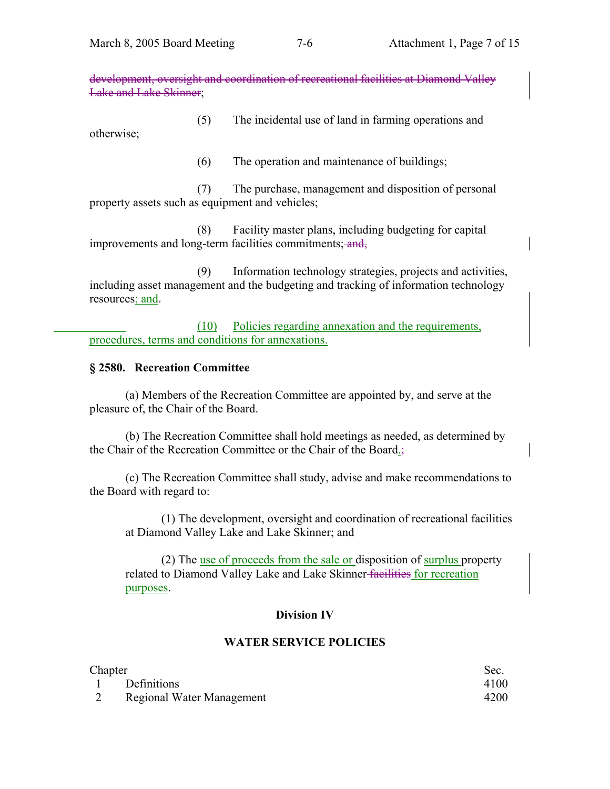development, oversight and coordination of recreational facilities at Diamond Valley Lake and Lake Skinner;

 (5) The incidental use of land in farming operations and otherwise;

(6) The operation and maintenance of buildings;

 (7) The purchase, management and disposition of personal property assets such as equipment and vehicles;

 (8) Facility master plans, including budgeting for capital improvements and long-term facilities commitments; and,

 (9) Information technology strategies, projects and activities, including asset management and the budgeting and tracking of information technology resources; and-

 (10) Policies regarding annexation and the requirements, procedures, terms and conditions for annexations.

## **§ 2580. Recreation Committee**

 (a) Members of the Recreation Committee are appointed by, and serve at the pleasure of, the Chair of the Board.

 (b) The Recreation Committee shall hold meetings as needed, as determined by the Chair of the Recreation Committee or the Chair of the Board.;

 (c) The Recreation Committee shall study, advise and make recommendations to the Board with regard to:

 (1) The development, oversight and coordination of recreational facilities at Diamond Valley Lake and Lake Skinner; and

 (2) The use of proceeds from the sale or disposition of surplus property related to Diamond Valley Lake and Lake Skinner-facilities for recreation purposes.

## **Division IV**

# **WATER SERVICE POLICIES**

| Chapter |                           | Sec. |
|---------|---------------------------|------|
|         | 1 Definitions             | 4100 |
|         | Regional Water Management | 4200 |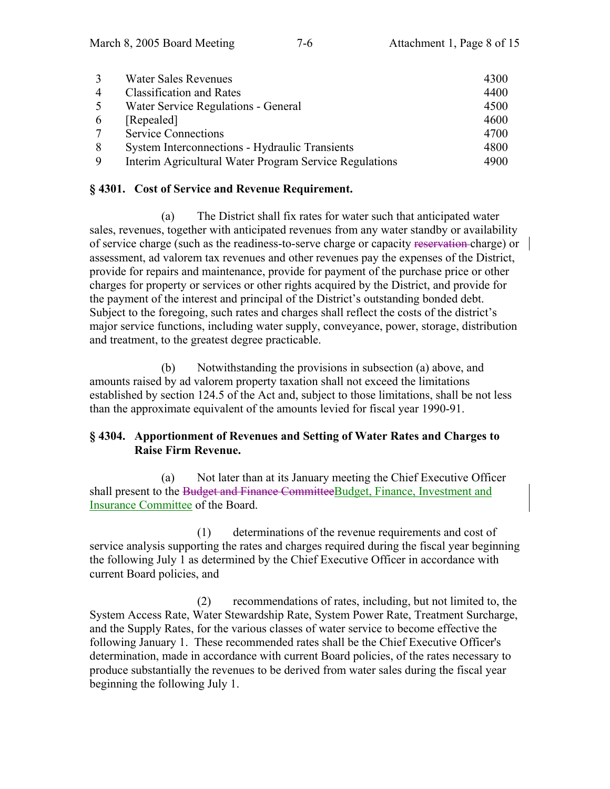|   | <b>Water Sales Revenues</b>                            | 4300 |
|---|--------------------------------------------------------|------|
| 4 | <b>Classification and Rates</b>                        | 4400 |
|   | Water Service Regulations - General                    | 4500 |
| 6 | [Repealed]                                             | 4600 |
|   | <b>Service Connections</b>                             | 4700 |
|   | System Interconnections - Hydraulic Transients         | 4800 |
| 9 | Interim Agricultural Water Program Service Regulations | 4900 |

#### **§ 4301. Cost of Service and Revenue Requirement.**

 (a) The District shall fix rates for water such that anticipated water sales, revenues, together with anticipated revenues from any water standby or availability of service charge (such as the readiness-to-serve charge or capacity reservation charge) or assessment, ad valorem tax revenues and other revenues pay the expenses of the District, provide for repairs and maintenance, provide for payment of the purchase price or other charges for property or services or other rights acquired by the District, and provide for the payment of the interest and principal of the District's outstanding bonded debt. Subject to the foregoing, such rates and charges shall reflect the costs of the district's major service functions, including water supply, conveyance, power, storage, distribution and treatment, to the greatest degree practicable.

 (b) Notwithstanding the provisions in subsection (a) above, and amounts raised by ad valorem property taxation shall not exceed the limitations established by section 124.5 of the Act and, subject to those limitations, shall be not less than the approximate equivalent of the amounts levied for fiscal year 1990-91.

## **§ 4304. Apportionment of Revenues and Setting of Water Rates and Charges to Raise Firm Revenue.**

 (a) Not later than at its January meeting the Chief Executive Officer shall present to the Budget and Finance CommitteeBudget, Finance, Investment and Insurance Committee of the Board.

(1) determinations of the revenue requirements and cost of service analysis supporting the rates and charges required during the fiscal year beginning the following July 1 as determined by the Chief Executive Officer in accordance with current Board policies, and

(2) recommendations of rates, including, but not limited to, the System Access Rate, Water Stewardship Rate, System Power Rate, Treatment Surcharge, and the Supply Rates, for the various classes of water service to become effective the following January 1. These recommended rates shall be the Chief Executive Officer's determination, made in accordance with current Board policies, of the rates necessary to produce substantially the revenues to be derived from water sales during the fiscal year beginning the following July 1.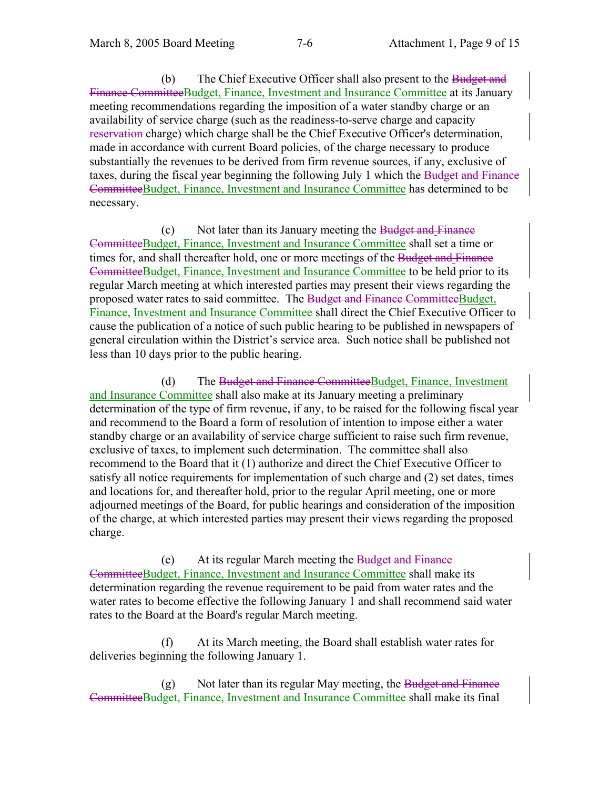(b) The Chief Executive Officer shall also present to the Budget and Finance CommitteeBudget, Finance, Investment and Insurance Committee at its January meeting recommendations regarding the imposition of a water standby charge or an availability of service charge (such as the readiness-to-serve charge and capacity reservation charge) which charge shall be the Chief Executive Officer's determination, made in accordance with current Board policies, of the charge necessary to produce substantially the revenues to be derived from firm revenue sources, if any, exclusive of taxes, during the fiscal year beginning the following July 1 which the Budget and Finance CommitteeBudget, Finance, Investment and Insurance Committee has determined to be necessary.

(c) Not later than its January meeting the Budget and Finance CommitteeBudget, Finance, Investment and Insurance Committee shall set a time or times for, and shall thereafter hold, one or more meetings of the Budget and Finance CommitteeBudget, Finance, Investment and Insurance Committee to be held prior to its regular March meeting at which interested parties may present their views regarding the proposed water rates to said committee. The Budget and Finance CommitteeBudget, Finance, Investment and Insurance Committee shall direct the Chief Executive Officer to cause the publication of a notice of such public hearing to be published in newspapers of general circulation within the District's service area. Such notice shall be published not less than 10 days prior to the public hearing.

 (d) The Budget and Finance CommitteeBudget, Finance, Investment and Insurance Committee shall also make at its January meeting a preliminary determination of the type of firm revenue, if any, to be raised for the following fiscal year and recommend to the Board a form of resolution of intention to impose either a water standby charge or an availability of service charge sufficient to raise such firm revenue, exclusive of taxes, to implement such determination. The committee shall also recommend to the Board that it (1) authorize and direct the Chief Executive Officer to satisfy all notice requirements for implementation of such charge and (2) set dates, times and locations for, and thereafter hold, prior to the regular April meeting, one or more adjourned meetings of the Board, for public hearings and consideration of the imposition of the charge, at which interested parties may present their views regarding the proposed charge.

 (e) At its regular March meeting the Budget and Finance CommitteeBudget, Finance, Investment and Insurance Committee shall make its determination regarding the revenue requirement to be paid from water rates and the water rates to become effective the following January 1 and shall recommend said water rates to the Board at the Board's regular March meeting.

 (f) At its March meeting, the Board shall establish water rates for deliveries beginning the following January 1.

 $(g)$  Not later than its regular May meeting, the Budget and Finance CommitteeBudget, Finance, Investment and Insurance Committee shall make its final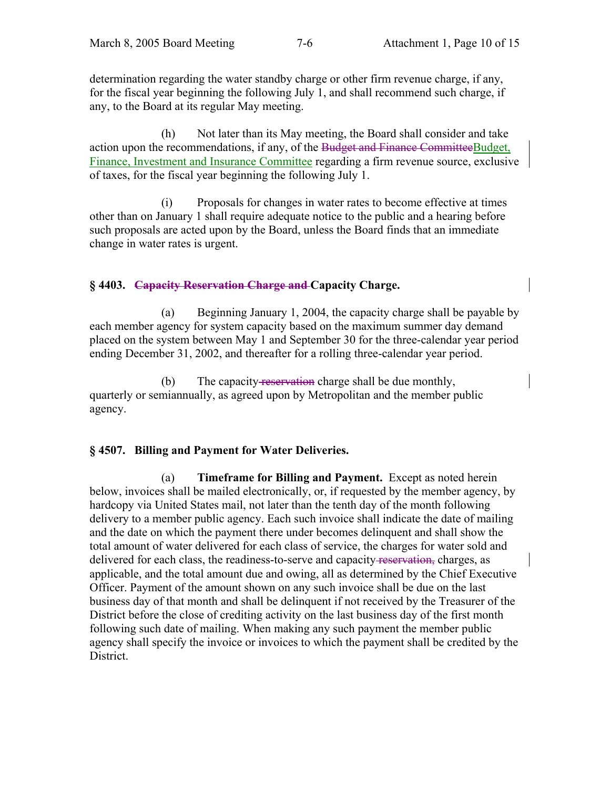determination regarding the water standby charge or other firm revenue charge, if any, for the fiscal year beginning the following July 1, and shall recommend such charge, if any, to the Board at its regular May meeting.

 (h) Not later than its May meeting, the Board shall consider and take action upon the recommendations, if any, of the Budget and Finance CommitteeBudget, Finance, Investment and Insurance Committee regarding a firm revenue source, exclusive of taxes, for the fiscal year beginning the following July 1.

 (i) Proposals for changes in water rates to become effective at times other than on January 1 shall require adequate notice to the public and a hearing before such proposals are acted upon by the Board, unless the Board finds that an immediate change in water rates is urgent.

# **§ 4403. Capacity Reservation Charge and Capacity Charge.**

 (a) Beginning January 1, 2004, the capacity charge shall be payable by each member agency for system capacity based on the maximum summer day demand placed on the system between May 1 and September 30 for the three-calendar year period ending December 31, 2002, and thereafter for a rolling three-calendar year period.

(b) The capacity-reservation charge shall be due monthly, quarterly or semiannually, as agreed upon by Metropolitan and the member public agency.

## **§ 4507. Billing and Payment for Water Deliveries.**

 (a) **Timeframe for Billing and Payment.** Except as noted herein below, invoices shall be mailed electronically, or, if requested by the member agency, by hardcopy via United States mail, not later than the tenth day of the month following delivery to a member public agency. Each such invoice shall indicate the date of mailing and the date on which the payment there under becomes delinquent and shall show the total amount of water delivered for each class of service, the charges for water sold and delivered for each class, the readiness-to-serve and capacity reservation, charges, as applicable, and the total amount due and owing, all as determined by the Chief Executive Officer. Payment of the amount shown on any such invoice shall be due on the last business day of that month and shall be delinquent if not received by the Treasurer of the District before the close of crediting activity on the last business day of the first month following such date of mailing. When making any such payment the member public agency shall specify the invoice or invoices to which the payment shall be credited by the District.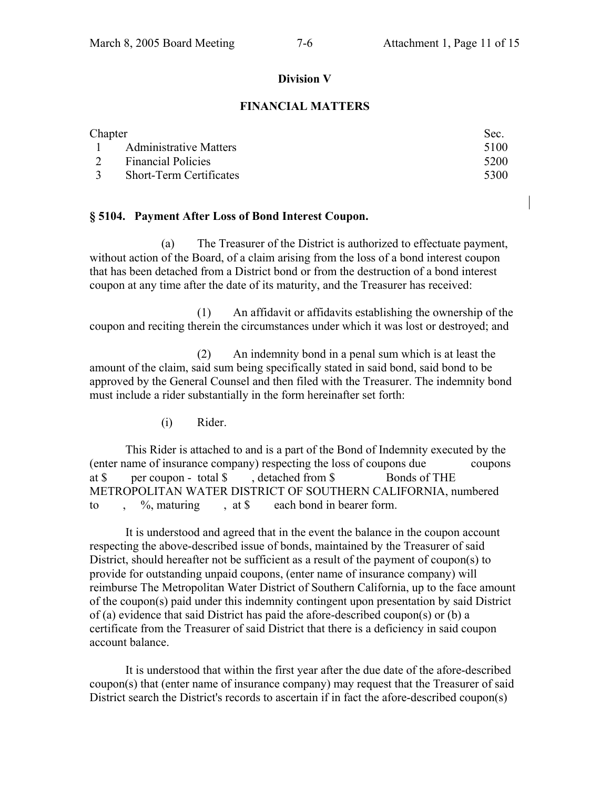#### **Division V**

#### **FINANCIAL MATTERS**

| Chapter |                                | Sec. |
|---------|--------------------------------|------|
|         | 1 Administrative Matters       | 5100 |
|         | 2 Financial Policies           | 5200 |
|         | <b>Short-Term Certificates</b> | 5300 |

#### **§ 5104. Payment After Loss of Bond Interest Coupon.**

 (a) The Treasurer of the District is authorized to effectuate payment, without action of the Board, of a claim arising from the loss of a bond interest coupon that has been detached from a District bond or from the destruction of a bond interest coupon at any time after the date of its maturity, and the Treasurer has received:

 (1) An affidavit or affidavits establishing the ownership of the coupon and reciting therein the circumstances under which it was lost or destroyed; and

 (2) An indemnity bond in a penal sum which is at least the amount of the claim, said sum being specifically stated in said bond, said bond to be approved by the General Counsel and then filed with the Treasurer. The indemnity bond must include a rider substantially in the form hereinafter set forth:

(i) Rider.

This Rider is attached to and is a part of the Bond of Indemnity executed by the (enter name of insurance company) respecting the loss of coupons due coupons at \$ per coupon - total \$ , detached from \$ Bonds of THE METROPOLITAN WATER DISTRICT OF SOUTHERN CALIFORNIA, numbered to ,  $\%$ , maturing , at \$ each bond in bearer form.

It is understood and agreed that in the event the balance in the coupon account respecting the above-described issue of bonds, maintained by the Treasurer of said District, should hereafter not be sufficient as a result of the payment of coupon(s) to provide for outstanding unpaid coupons, (enter name of insurance company) will reimburse The Metropolitan Water District of Southern California, up to the face amount of the coupon(s) paid under this indemnity contingent upon presentation by said District of (a) evidence that said District has paid the afore-described coupon(s) or (b) a certificate from the Treasurer of said District that there is a deficiency in said coupon account balance.

 It is understood that within the first year after the due date of the afore-described coupon(s) that (enter name of insurance company) may request that the Treasurer of said District search the District's records to ascertain if in fact the afore-described coupon(s)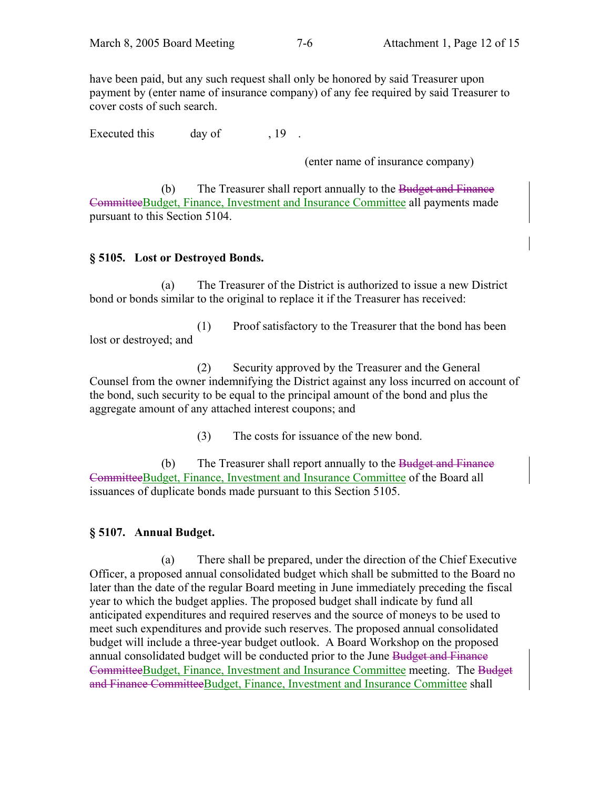have been paid, but any such request shall only be honored by said Treasurer upon payment by (enter name of insurance company) of any fee required by said Treasurer to cover costs of such search.

Executed this day of 19

(enter name of insurance company)

(b) The Treasurer shall report annually to the Budget and Finance CommitteeBudget, Finance, Investment and Insurance Committee all payments made pursuant to this Section 5104.

## **§ 5105. Lost or Destroyed Bonds.**

 (a) The Treasurer of the District is authorized to issue a new District bond or bonds similar to the original to replace it if the Treasurer has received:

 (1) Proof satisfactory to the Treasurer that the bond has been lost or destroyed; and

 (2) Security approved by the Treasurer and the General Counsel from the owner indemnifying the District against any loss incurred on account of the bond, such security to be equal to the principal amount of the bond and plus the aggregate amount of any attached interest coupons; and

(3) The costs for issuance of the new bond.

 (b) The Treasurer shall report annually to the Budget and Finance CommitteeBudget, Finance, Investment and Insurance Committee of the Board all issuances of duplicate bonds made pursuant to this Section 5105.

## **§ 5107. Annual Budget.**

 (a) There shall be prepared, under the direction of the Chief Executive Officer, a proposed annual consolidated budget which shall be submitted to the Board no later than the date of the regular Board meeting in June immediately preceding the fiscal year to which the budget applies. The proposed budget shall indicate by fund all anticipated expenditures and required reserves and the source of moneys to be used to meet such expenditures and provide such reserves. The proposed annual consolidated budget will include a three-year budget outlook. A Board Workshop on the proposed annual consolidated budget will be conducted prior to the June Budget and Finance CommitteeBudget, Finance, Investment and Insurance Committee meeting. The Budget and Finance CommitteeBudget, Finance, Investment and Insurance Committee shall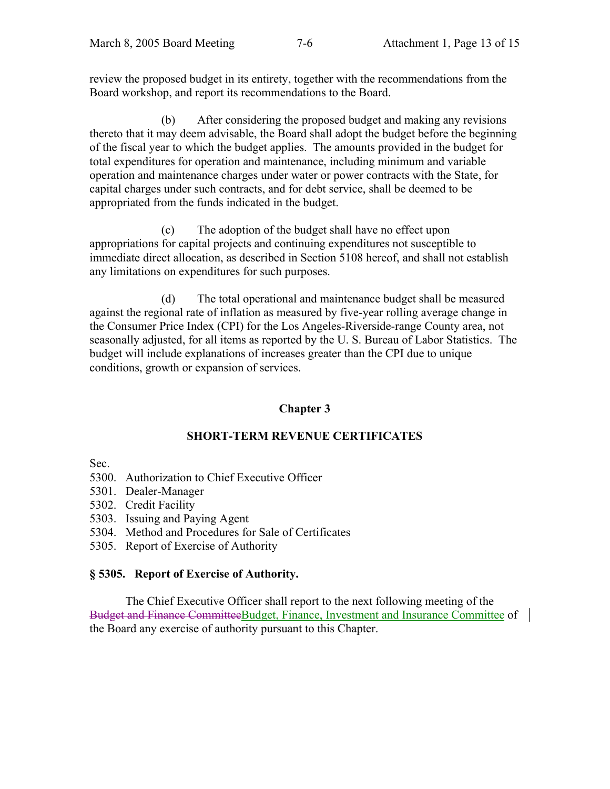review the proposed budget in its entirety, together with the recommendations from the Board workshop, and report its recommendations to the Board.

 (b) After considering the proposed budget and making any revisions thereto that it may deem advisable, the Board shall adopt the budget before the beginning of the fiscal year to which the budget applies. The amounts provided in the budget for total expenditures for operation and maintenance, including minimum and variable operation and maintenance charges under water or power contracts with the State, for capital charges under such contracts, and for debt service, shall be deemed to be appropriated from the funds indicated in the budget.

 (c) The adoption of the budget shall have no effect upon appropriations for capital projects and continuing expenditures not susceptible to immediate direct allocation, as described in Section 5108 hereof, and shall not establish any limitations on expenditures for such purposes.

 (d) The total operational and maintenance budget shall be measured against the regional rate of inflation as measured by five-year rolling average change in the Consumer Price Index (CPI) for the Los Angeles-Riverside-range County area, not seasonally adjusted, for all items as reported by the U. S. Bureau of Labor Statistics. The budget will include explanations of increases greater than the CPI due to unique conditions, growth or expansion of services.

# **Chapter 3**

# **SHORT-TERM REVENUE CERTIFICATES**

Sec.

- 5300. Authorization to Chief Executive Officer
- 5301. Dealer-Manager
- 5302. Credit Facility
- 5303. Issuing and Paying Agent
- 5304. Method and Procedures for Sale of Certificates
- 5305. Report of Exercise of Authority

# **§ 5305. Report of Exercise of Authority.**

 The Chief Executive Officer shall report to the next following meeting of the Budget and Finance CommitteeBudget, Finance, Investment and Insurance Committee of the Board any exercise of authority pursuant to this Chapter.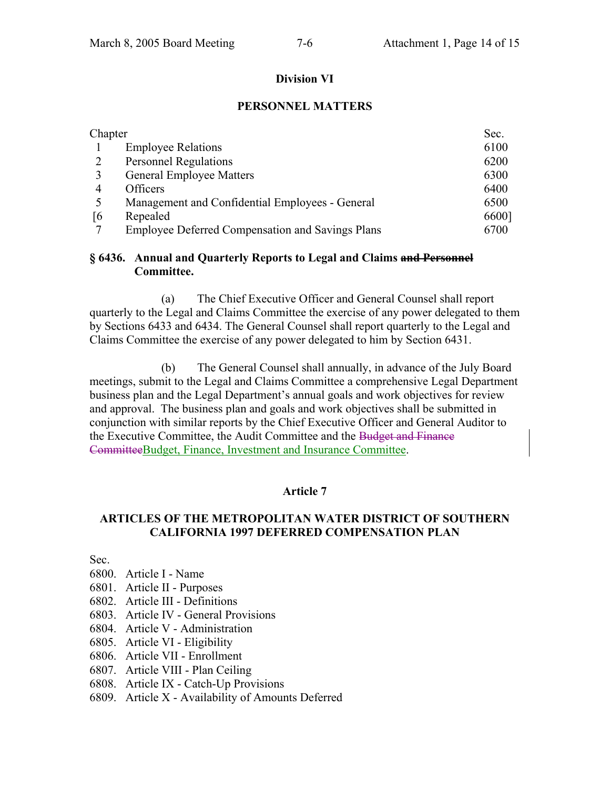#### **Division VI**

#### **PERSONNEL MATTERS**

| Chapter |                                                         | Sec.  |
|---------|---------------------------------------------------------|-------|
|         | <b>Employee Relations</b>                               | 6100  |
|         | <b>Personnel Regulations</b>                            | 6200  |
|         | <b>General Employee Matters</b>                         | 6300  |
| 4       | <b>Officers</b>                                         | 6400  |
|         | Management and Confidential Employees - General         | 6500  |
| 16      | Repealed                                                | 6600] |
|         | <b>Employee Deferred Compensation and Savings Plans</b> | 6700  |

#### **§ 6436. Annual and Quarterly Reports to Legal and Claims and Personnel Committee.**

 (a) The Chief Executive Officer and General Counsel shall report quarterly to the Legal and Claims Committee the exercise of any power delegated to them by Sections 6433 and 6434. The General Counsel shall report quarterly to the Legal and Claims Committee the exercise of any power delegated to him by Section 6431.

 (b) The General Counsel shall annually, in advance of the July Board meetings, submit to the Legal and Claims Committee a comprehensive Legal Department business plan and the Legal Department's annual goals and work objectives for review and approval. The business plan and goals and work objectives shall be submitted in conjunction with similar reports by the Chief Executive Officer and General Auditor to the Executive Committee, the Audit Committee and the Budget and Finance CommitteeBudget, Finance, Investment and Insurance Committee.

#### **Article 7**

#### **ARTICLES OF THE METROPOLITAN WATER DISTRICT OF SOUTHERN CALIFORNIA 1997 DEFERRED COMPENSATION PLAN**

Sec.

- 6800. Article I Name
- 6801. Article II Purposes
- 6802. Article III Definitions
- 6803. Article IV General Provisions
- 6804. Article V Administration
- 6805. Article VI Eligibility
- 6806. Article VII Enrollment
- 6807. Article VIII Plan Ceiling
- 6808. Article IX Catch-Up Provisions
- 6809. Article X Availability of Amounts Deferred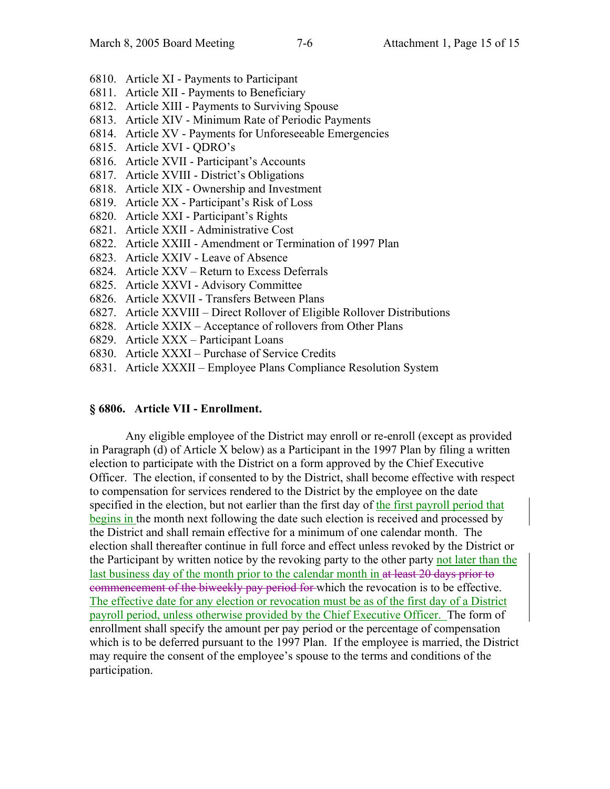- 6810. Article XI Payments to Participant
- 6811. Article XII Payments to Beneficiary
- 6812. Article XIII Payments to Surviving Spouse
- 6813. Article XIV Minimum Rate of Periodic Payments
- 6814. Article XV Payments for Unforeseeable Emergencies
- 6815. Article XVI QDRO's
- 6816. Article XVII Participant's Accounts
- 6817. Article XVIII District's Obligations
- 6818. Article XIX Ownership and Investment
- 6819. Article XX Participant's Risk of Loss
- 6820. Article XXI Participant's Rights
- 6821. Article XXII Administrative Cost
- 6822. Article XXIII Amendment or Termination of 1997 Plan
- 6823. Article XXIV Leave of Absence
- 6824. Article XXV Return to Excess Deferrals
- 6825. Article XXVI Advisory Committee
- 6826. Article XXVII Transfers Between Plans
- 6827. Article XXVIII Direct Rollover of Eligible Rollover Distributions
- 6828. Article XXIX Acceptance of rollovers from Other Plans
- 6829. Article XXX Participant Loans
- 6830. Article XXXI Purchase of Service Credits
- 6831. Article XXXII Employee Plans Compliance Resolution System

#### **§ 6806. Article VII - Enrollment.**

 Any eligible employee of the District may enroll or re-enroll (except as provided in Paragraph (d) of Article X below) as a Participant in the 1997 Plan by filing a written election to participate with the District on a form approved by the Chief Executive Officer. The election, if consented to by the District, shall become effective with respect to compensation for services rendered to the District by the employee on the date specified in the election, but not earlier than the first day of the first payroll period that begins in the month next following the date such election is received and processed by the District and shall remain effective for a minimum of one calendar month. The election shall thereafter continue in full force and effect unless revoked by the District or the Participant by written notice by the revoking party to the other party not later than the last business day of the month prior to the calendar month in at least 20 days prior to commencement of the biweekly pay period for which the revocation is to be effective. The effective date for any election or revocation must be as of the first day of a District payroll period, unless otherwise provided by the Chief Executive Officer. The form of enrollment shall specify the amount per pay period or the percentage of compensation which is to be deferred pursuant to the 1997 Plan. If the employee is married, the District may require the consent of the employee's spouse to the terms and conditions of the participation.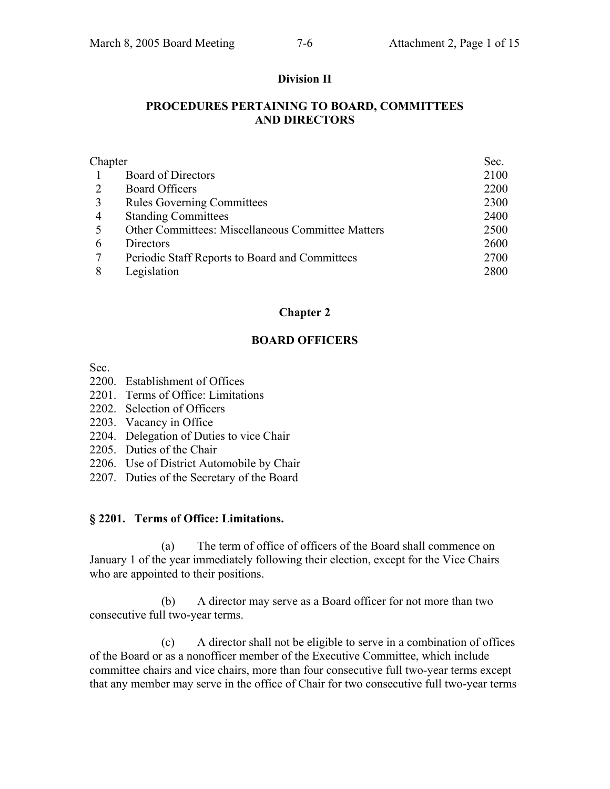#### **Division II**

#### **PROCEDURES PERTAINING TO BOARD, COMMITTEES AND DIRECTORS**

| Chapter |                                                   | Sec. |
|---------|---------------------------------------------------|------|
|         | <b>Board of Directors</b>                         | 2100 |
|         | <b>Board Officers</b>                             | 2200 |
| 3       | <b>Rules Governing Committees</b>                 | 2300 |
| 4       | <b>Standing Committees</b>                        | 2400 |
|         | Other Committees: Miscellaneous Committee Matters | 2500 |
| 6       | Directors                                         | 2600 |
|         | Periodic Staff Reports to Board and Committees    | 2700 |
|         | Legislation                                       | 2800 |

#### **Chapter 2**

#### **BOARD OFFICERS**

Sec.

- 2200. Establishment of Offices
- 2201. Terms of Office: Limitations
- 2202. Selection of Officers
- 2203. Vacancy in Office
- 2204. Delegation of Duties to vice Chair
- 2205. Duties of the Chair
- 2206. Use of District Automobile by Chair
- 2207. Duties of the Secretary of the Board

#### **§ 2201. Terms of Office: Limitations.**

 (a) The term of office of officers of the Board shall commence on January 1 of the year immediately following their election, except for the Vice Chairs who are appointed to their positions.

 (b) A director may serve as a Board officer for not more than two consecutive full two-year terms.

 (c) A director shall not be eligible to serve in a combination of offices of the Board or as a nonofficer member of the Executive Committee, which include committee chairs and vice chairs, more than four consecutive full two-year terms except that any member may serve in the office of Chair for two consecutive full two-year terms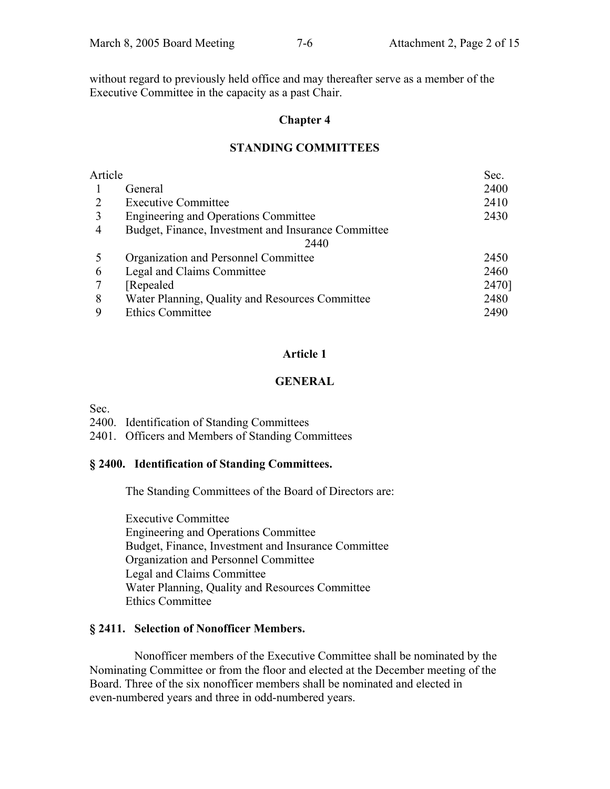without regard to previously held office and may thereafter serve as a member of the Executive Committee in the capacity as a past Chair.

#### **Chapter 4**

#### **STANDING COMMITTEES**

| Article |                                                     | Sec.  |
|---------|-----------------------------------------------------|-------|
|         | General                                             | 2400  |
|         | <b>Executive Committee</b>                          | 2410  |
| 3       | Engineering and Operations Committee                | 2430  |
| 4       | Budget, Finance, Investment and Insurance Committee |       |
|         | 2440                                                |       |
|         | Organization and Personnel Committee                | 2450  |
| 6       | Legal and Claims Committee                          | 2460  |
|         | Repealed                                            | 2470] |
| 8       | Water Planning, Quality and Resources Committee     | 2480  |
| 9       | <b>Ethics Committee</b>                             | 2490  |

## **Article 1**

# **GENERAL**

Sec.

2400. Identification of Standing Committees

2401. Officers and Members of Standing Committees

## **§ 2400. Identification of Standing Committees.**

The Standing Committees of the Board of Directors are:

 Executive Committee Engineering and Operations Committee Budget, Finance, Investment and Insurance Committee Organization and Personnel Committee Legal and Claims Committee Water Planning, Quality and Resources Committee Ethics Committee

## **§ 2411. Selection of Nonofficer Members.**

 Nonofficer members of the Executive Committee shall be nominated by the Nominating Committee or from the floor and elected at the December meeting of the Board. Three of the six nonofficer members shall be nominated and elected in even-numbered years and three in odd-numbered years.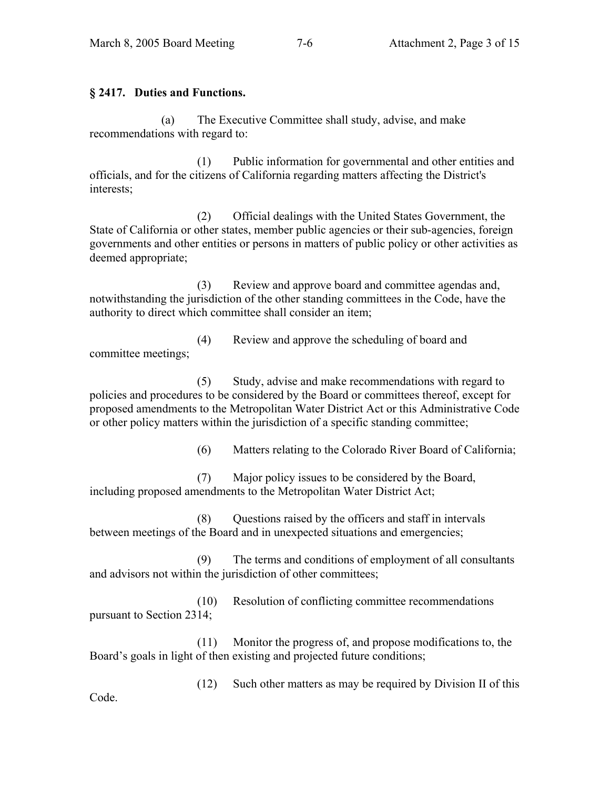# **§ 2417. Duties and Functions.**

 (a) The Executive Committee shall study, advise, and make recommendations with regard to:

 (1) Public information for governmental and other entities and officials, and for the citizens of California regarding matters affecting the District's interests;

 (2) Official dealings with the United States Government, the State of California or other states, member public agencies or their sub-agencies, foreign governments and other entities or persons in matters of public policy or other activities as deemed appropriate;

 (3) Review and approve board and committee agendas and, notwithstanding the jurisdiction of the other standing committees in the Code, have the authority to direct which committee shall consider an item;

 (4) Review and approve the scheduling of board and committee meetings;

 (5) Study, advise and make recommendations with regard to policies and procedures to be considered by the Board or committees thereof, except for proposed amendments to the Metropolitan Water District Act or this Administrative Code or other policy matters within the jurisdiction of a specific standing committee;

(6) Matters relating to the Colorado River Board of California;

 (7) Major policy issues to be considered by the Board, including proposed amendments to the Metropolitan Water District Act;

 (8) Questions raised by the officers and staff in intervals between meetings of the Board and in unexpected situations and emergencies;

 (9) The terms and conditions of employment of all consultants and advisors not within the jurisdiction of other committees;

 (10) Resolution of conflicting committee recommendations pursuant to Section 2314;

 (11) Monitor the progress of, and propose modifications to, the Board's goals in light of then existing and projected future conditions;

(12) Such other matters as may be required by Division II of this

Code.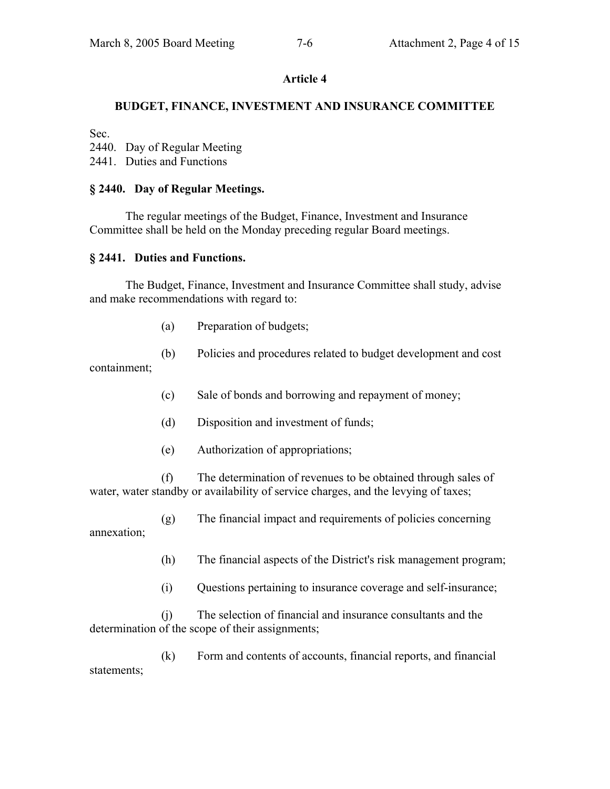## **Article 4**

## **BUDGET, FINANCE, INVESTMENT AND INSURANCE COMMITTEE**

Sec.

2440. Day of Regular Meeting

2441. Duties and Functions

#### **§ 2440. Day of Regular Meetings.**

 The regular meetings of the Budget, Finance, Investment and Insurance Committee shall be held on the Monday preceding regular Board meetings.

#### **§ 2441. Duties and Functions.**

 The Budget, Finance, Investment and Insurance Committee shall study, advise and make recommendations with regard to:

- (a) Preparation of budgets;
- (b) Policies and procedures related to budget development and cost

containment;

- (c) Sale of bonds and borrowing and repayment of money;
- (d) Disposition and investment of funds;
- (e) Authorization of appropriations;

 (f) The determination of revenues to be obtained through sales of water, water standby or availability of service charges, and the levying of taxes;

(g) The financial impact and requirements of policies concerning

annexation;

- (h) The financial aspects of the District's risk management program;
- (i) Questions pertaining to insurance coverage and self-insurance;

 (j) The selection of financial and insurance consultants and the determination of the scope of their assignments;

 (k) Form and contents of accounts, financial reports, and financial statements;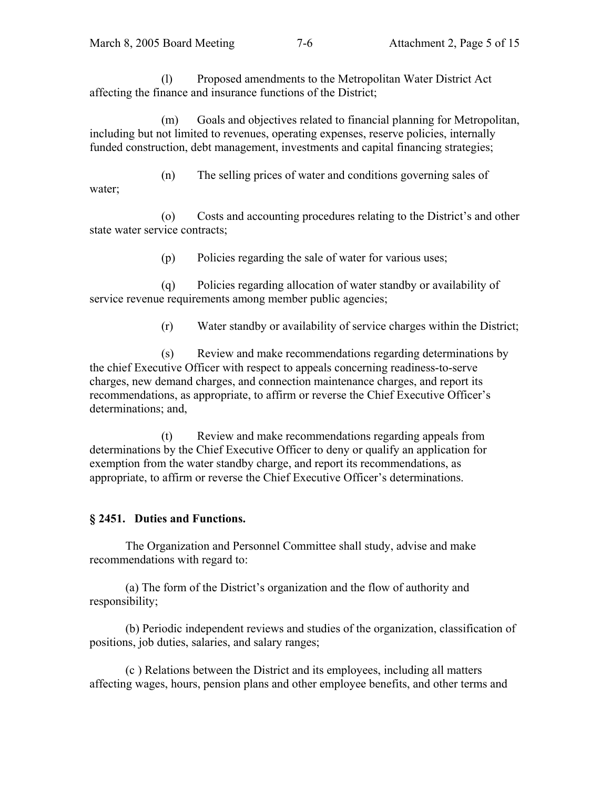(l) Proposed amendments to the Metropolitan Water District Act affecting the finance and insurance functions of the District;

 (m) Goals and objectives related to financial planning for Metropolitan, including but not limited to revenues, operating expenses, reserve policies, internally funded construction, debt management, investments and capital financing strategies;

 (n) The selling prices of water and conditions governing sales of water;

 (o) Costs and accounting procedures relating to the District's and other state water service contracts;

(p) Policies regarding the sale of water for various uses;

 (q) Policies regarding allocation of water standby or availability of service revenue requirements among member public agencies;

(r) Water standby or availability of service charges within the District;

 (s) Review and make recommendations regarding determinations by the chief Executive Officer with respect to appeals concerning readiness-to-serve charges, new demand charges, and connection maintenance charges, and report its recommendations, as appropriate, to affirm or reverse the Chief Executive Officer's determinations; and,

 (t) Review and make recommendations regarding appeals from determinations by the Chief Executive Officer to deny or qualify an application for exemption from the water standby charge, and report its recommendations, as appropriate, to affirm or reverse the Chief Executive Officer's determinations.

## **§ 2451. Duties and Functions.**

 The Organization and Personnel Committee shall study, advise and make recommendations with regard to:

 (a) The form of the District's organization and the flow of authority and responsibility;

 (b) Periodic independent reviews and studies of the organization, classification of positions, job duties, salaries, and salary ranges;

 (c ) Relations between the District and its employees, including all matters affecting wages, hours, pension plans and other employee benefits, and other terms and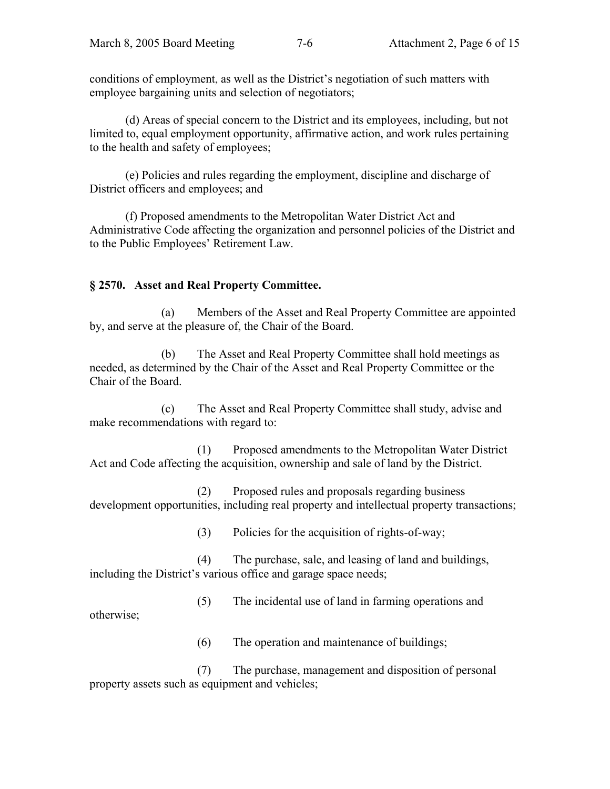conditions of employment, as well as the District's negotiation of such matters with employee bargaining units and selection of negotiators;

 (d) Areas of special concern to the District and its employees, including, but not limited to, equal employment opportunity, affirmative action, and work rules pertaining to the health and safety of employees;

 (e) Policies and rules regarding the employment, discipline and discharge of District officers and employees; and

 (f) Proposed amendments to the Metropolitan Water District Act and Administrative Code affecting the organization and personnel policies of the District and to the Public Employees' Retirement Law.

# **§ 2570. Asset and Real Property Committee.**

 (a) Members of the Asset and Real Property Committee are appointed by, and serve at the pleasure of, the Chair of the Board.

 (b) The Asset and Real Property Committee shall hold meetings as needed, as determined by the Chair of the Asset and Real Property Committee or the Chair of the Board.

 (c) The Asset and Real Property Committee shall study, advise and make recommendations with regard to:

 (1) Proposed amendments to the Metropolitan Water District Act and Code affecting the acquisition, ownership and sale of land by the District.

 (2) Proposed rules and proposals regarding business development opportunities, including real property and intellectual property transactions;

(3) Policies for the acquisition of rights-of-way;

 (4) The purchase, sale, and leasing of land and buildings, including the District's various office and garage space needs;

(5) The incidental use of land in farming operations and

otherwise;

(6) The operation and maintenance of buildings;

 (7) The purchase, management and disposition of personal property assets such as equipment and vehicles;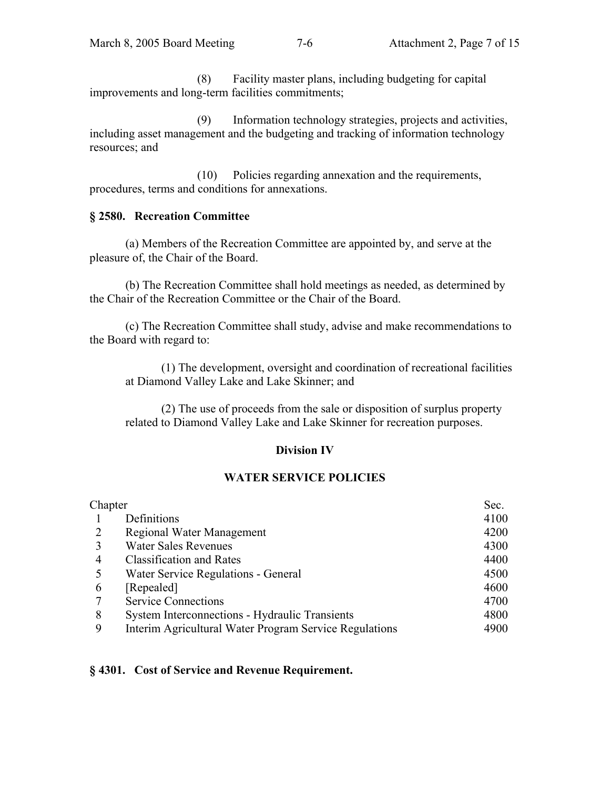(8) Facility master plans, including budgeting for capital improvements and long-term facilities commitments;

 (9) Information technology strategies, projects and activities, including asset management and the budgeting and tracking of information technology resources; and

 (10) Policies regarding annexation and the requirements, procedures, terms and conditions for annexations.

## **§ 2580. Recreation Committee**

 (a) Members of the Recreation Committee are appointed by, and serve at the pleasure of, the Chair of the Board.

 (b) The Recreation Committee shall hold meetings as needed, as determined by the Chair of the Recreation Committee or the Chair of the Board.

 (c) The Recreation Committee shall study, advise and make recommendations to the Board with regard to:

 (1) The development, oversight and coordination of recreational facilities at Diamond Valley Lake and Lake Skinner; and

 (2) The use of proceeds from the sale or disposition of surplus property related to Diamond Valley Lake and Lake Skinner for recreation purposes.

## **Division IV**

# **WATER SERVICE POLICIES**

| Chapter |                                                        | Sec. |
|---------|--------------------------------------------------------|------|
|         | Definitions                                            | 4100 |
| 2       | Regional Water Management                              | 4200 |
|         | <b>Water Sales Revenues</b>                            | 4300 |
| 4       | <b>Classification and Rates</b>                        | 4400 |
| 5       | Water Service Regulations - General                    | 4500 |
| 6       | [Repealed]                                             | 4600 |
|         | <b>Service Connections</b>                             | 4700 |
| 8       | <b>System Interconnections - Hydraulic Transients</b>  | 4800 |
| 9       | Interim Agricultural Water Program Service Regulations | 4900 |

## **§ 4301. Cost of Service and Revenue Requirement.**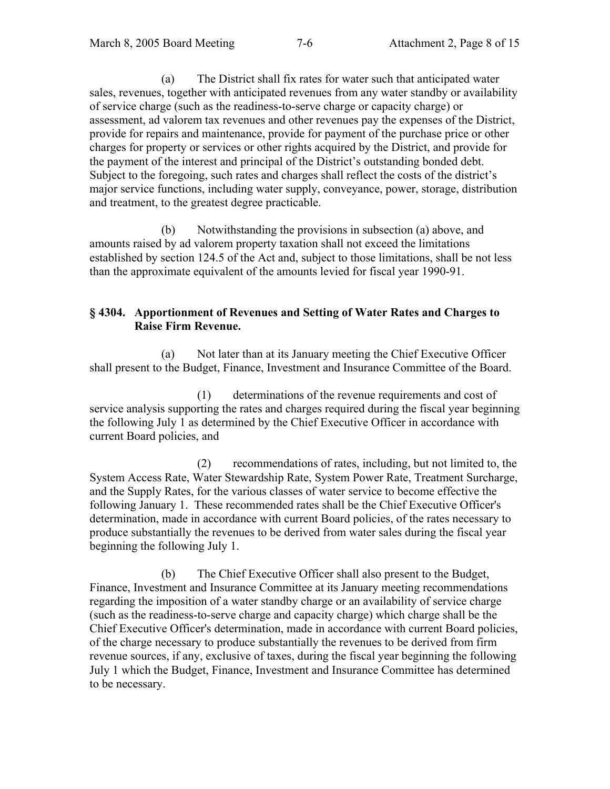(a) The District shall fix rates for water such that anticipated water sales, revenues, together with anticipated revenues from any water standby or availability of service charge (such as the readiness-to-serve charge or capacity charge) or assessment, ad valorem tax revenues and other revenues pay the expenses of the District, provide for repairs and maintenance, provide for payment of the purchase price or other charges for property or services or other rights acquired by the District, and provide for the payment of the interest and principal of the District's outstanding bonded debt. Subject to the foregoing, such rates and charges shall reflect the costs of the district's major service functions, including water supply, conveyance, power, storage, distribution and treatment, to the greatest degree practicable.

 (b) Notwithstanding the provisions in subsection (a) above, and amounts raised by ad valorem property taxation shall not exceed the limitations established by section 124.5 of the Act and, subject to those limitations, shall be not less than the approximate equivalent of the amounts levied for fiscal year 1990-91.

#### **§ 4304. Apportionment of Revenues and Setting of Water Rates and Charges to Raise Firm Revenue.**

 (a) Not later than at its January meeting the Chief Executive Officer shall present to the Budget, Finance, Investment and Insurance Committee of the Board.

(1) determinations of the revenue requirements and cost of service analysis supporting the rates and charges required during the fiscal year beginning the following July 1 as determined by the Chief Executive Officer in accordance with current Board policies, and

(2) recommendations of rates, including, but not limited to, the System Access Rate, Water Stewardship Rate, System Power Rate, Treatment Surcharge, and the Supply Rates, for the various classes of water service to become effective the following January 1. These recommended rates shall be the Chief Executive Officer's determination, made in accordance with current Board policies, of the rates necessary to produce substantially the revenues to be derived from water sales during the fiscal year beginning the following July 1.

 (b) The Chief Executive Officer shall also present to the Budget, Finance, Investment and Insurance Committee at its January meeting recommendations regarding the imposition of a water standby charge or an availability of service charge (such as the readiness-to-serve charge and capacity charge) which charge shall be the Chief Executive Officer's determination, made in accordance with current Board policies, of the charge necessary to produce substantially the revenues to be derived from firm revenue sources, if any, exclusive of taxes, during the fiscal year beginning the following July 1 which the Budget, Finance, Investment and Insurance Committee has determined to be necessary.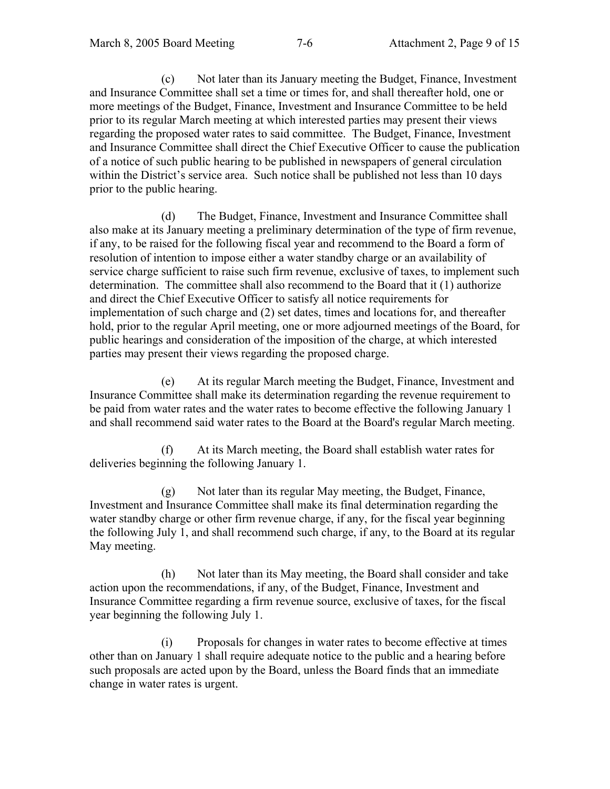(c) Not later than its January meeting the Budget, Finance, Investment and Insurance Committee shall set a time or times for, and shall thereafter hold, one or more meetings of the Budget, Finance, Investment and Insurance Committee to be held prior to its regular March meeting at which interested parties may present their views regarding the proposed water rates to said committee. The Budget, Finance, Investment and Insurance Committee shall direct the Chief Executive Officer to cause the publication of a notice of such public hearing to be published in newspapers of general circulation within the District's service area. Such notice shall be published not less than 10 days prior to the public hearing.

 (d) The Budget, Finance, Investment and Insurance Committee shall also make at its January meeting a preliminary determination of the type of firm revenue, if any, to be raised for the following fiscal year and recommend to the Board a form of resolution of intention to impose either a water standby charge or an availability of service charge sufficient to raise such firm revenue, exclusive of taxes, to implement such determination. The committee shall also recommend to the Board that it (1) authorize and direct the Chief Executive Officer to satisfy all notice requirements for implementation of such charge and (2) set dates, times and locations for, and thereafter hold, prior to the regular April meeting, one or more adjourned meetings of the Board, for public hearings and consideration of the imposition of the charge, at which interested parties may present their views regarding the proposed charge.

 (e) At its regular March meeting the Budget, Finance, Investment and Insurance Committee shall make its determination regarding the revenue requirement to be paid from water rates and the water rates to become effective the following January 1 and shall recommend said water rates to the Board at the Board's regular March meeting.

 (f) At its March meeting, the Board shall establish water rates for deliveries beginning the following January 1.

 (g) Not later than its regular May meeting, the Budget, Finance, Investment and Insurance Committee shall make its final determination regarding the water standby charge or other firm revenue charge, if any, for the fiscal year beginning the following July 1, and shall recommend such charge, if any, to the Board at its regular May meeting.

 (h) Not later than its May meeting, the Board shall consider and take action upon the recommendations, if any, of the Budget, Finance, Investment and Insurance Committee regarding a firm revenue source, exclusive of taxes, for the fiscal year beginning the following July 1.

 (i) Proposals for changes in water rates to become effective at times other than on January 1 shall require adequate notice to the public and a hearing before such proposals are acted upon by the Board, unless the Board finds that an immediate change in water rates is urgent.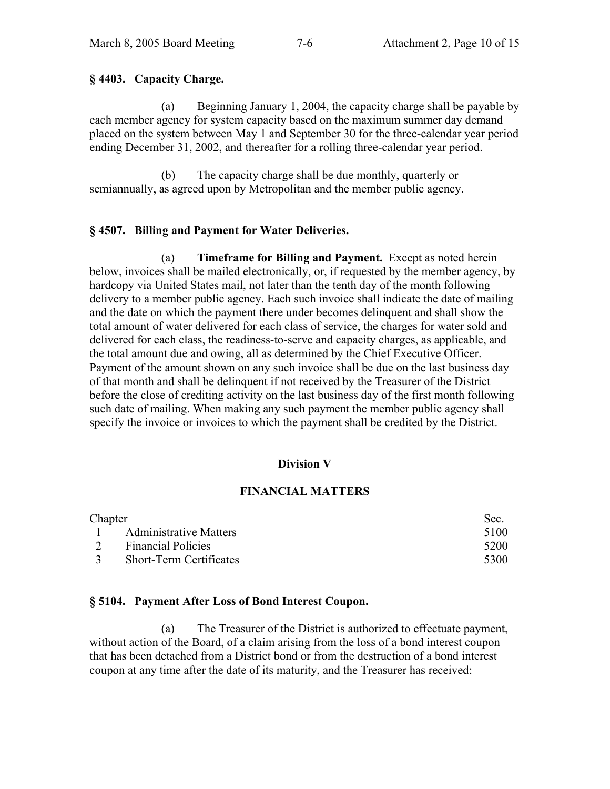#### **§ 4403. Capacity Charge.**

 (a) Beginning January 1, 2004, the capacity charge shall be payable by each member agency for system capacity based on the maximum summer day demand placed on the system between May 1 and September 30 for the three-calendar year period ending December 31, 2002, and thereafter for a rolling three-calendar year period.

 (b) The capacity charge shall be due monthly, quarterly or semiannually, as agreed upon by Metropolitan and the member public agency.

## **§ 4507. Billing and Payment for Water Deliveries.**

 (a) **Timeframe for Billing and Payment.** Except as noted herein below, invoices shall be mailed electronically, or, if requested by the member agency, by hardcopy via United States mail, not later than the tenth day of the month following delivery to a member public agency. Each such invoice shall indicate the date of mailing and the date on which the payment there under becomes delinquent and shall show the total amount of water delivered for each class of service, the charges for water sold and delivered for each class, the readiness-to-serve and capacity charges, as applicable, and the total amount due and owing, all as determined by the Chief Executive Officer. Payment of the amount shown on any such invoice shall be due on the last business day of that month and shall be delinquent if not received by the Treasurer of the District before the close of crediting activity on the last business day of the first month following such date of mailing. When making any such payment the member public agency shall specify the invoice or invoices to which the payment shall be credited by the District.

#### **Division V**

#### **FINANCIAL MATTERS**

| Chapter |                                | Sec. |
|---------|--------------------------------|------|
|         | 1 Administrative Matters       | 5100 |
| 2       | <b>Financial Policies</b>      | 5200 |
|         | <b>Short-Term Certificates</b> | 5300 |

#### **§ 5104. Payment After Loss of Bond Interest Coupon.**

 (a) The Treasurer of the District is authorized to effectuate payment, without action of the Board, of a claim arising from the loss of a bond interest coupon that has been detached from a District bond or from the destruction of a bond interest coupon at any time after the date of its maturity, and the Treasurer has received: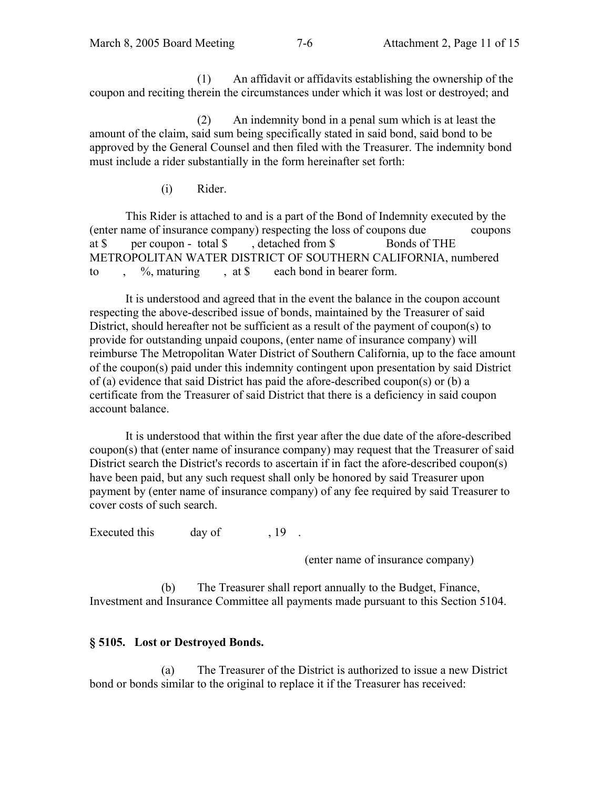(1) An affidavit or affidavits establishing the ownership of the coupon and reciting therein the circumstances under which it was lost or destroyed; and

 (2) An indemnity bond in a penal sum which is at least the amount of the claim, said sum being specifically stated in said bond, said bond to be approved by the General Counsel and then filed with the Treasurer. The indemnity bond must include a rider substantially in the form hereinafter set forth:

(i) Rider.

This Rider is attached to and is a part of the Bond of Indemnity executed by the (enter name of insurance company) respecting the loss of coupons due coupons at \$ per coupon - total \$ , detached from \$ Bonds of THE METROPOLITAN WATER DISTRICT OF SOUTHERN CALIFORNIA, numbered to ,  $\%$ , maturing , at \$ each bond in bearer form.

It is understood and agreed that in the event the balance in the coupon account respecting the above-described issue of bonds, maintained by the Treasurer of said District, should hereafter not be sufficient as a result of the payment of coupon(s) to provide for outstanding unpaid coupons, (enter name of insurance company) will reimburse The Metropolitan Water District of Southern California, up to the face amount of the coupon(s) paid under this indemnity contingent upon presentation by said District of (a) evidence that said District has paid the afore-described coupon(s) or (b) a certificate from the Treasurer of said District that there is a deficiency in said coupon account balance.

 It is understood that within the first year after the due date of the afore-described coupon(s) that (enter name of insurance company) may request that the Treasurer of said District search the District's records to ascertain if in fact the afore-described coupon(s) have been paid, but any such request shall only be honored by said Treasurer upon payment by (enter name of insurance company) of any fee required by said Treasurer to cover costs of such search.

Executed this day of 19.

(enter name of insurance company)

 (b) The Treasurer shall report annually to the Budget, Finance, Investment and Insurance Committee all payments made pursuant to this Section 5104.

# **§ 5105. Lost or Destroyed Bonds.**

 (a) The Treasurer of the District is authorized to issue a new District bond or bonds similar to the original to replace it if the Treasurer has received: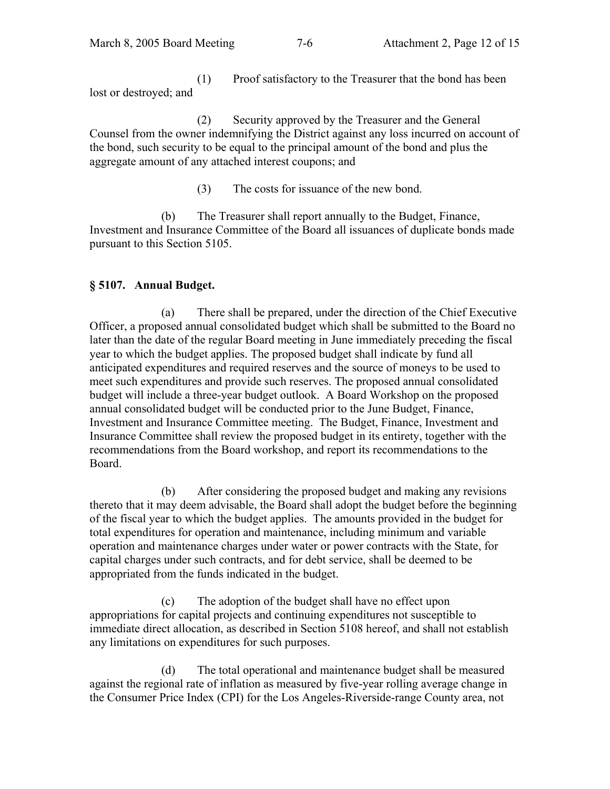(1) Proof satisfactory to the Treasurer that the bond has been lost or destroyed; and

 (2) Security approved by the Treasurer and the General Counsel from the owner indemnifying the District against any loss incurred on account of the bond, such security to be equal to the principal amount of the bond and plus the aggregate amount of any attached interest coupons; and

(3) The costs for issuance of the new bond.

 (b) The Treasurer shall report annually to the Budget, Finance, Investment and Insurance Committee of the Board all issuances of duplicate bonds made pursuant to this Section 5105.

# **§ 5107. Annual Budget.**

 (a) There shall be prepared, under the direction of the Chief Executive Officer, a proposed annual consolidated budget which shall be submitted to the Board no later than the date of the regular Board meeting in June immediately preceding the fiscal year to which the budget applies. The proposed budget shall indicate by fund all anticipated expenditures and required reserves and the source of moneys to be used to meet such expenditures and provide such reserves. The proposed annual consolidated budget will include a three-year budget outlook. A Board Workshop on the proposed annual consolidated budget will be conducted prior to the June Budget, Finance, Investment and Insurance Committee meeting. The Budget, Finance, Investment and Insurance Committee shall review the proposed budget in its entirety, together with the recommendations from the Board workshop, and report its recommendations to the Board.

 (b) After considering the proposed budget and making any revisions thereto that it may deem advisable, the Board shall adopt the budget before the beginning of the fiscal year to which the budget applies. The amounts provided in the budget for total expenditures for operation and maintenance, including minimum and variable operation and maintenance charges under water or power contracts with the State, for capital charges under such contracts, and for debt service, shall be deemed to be appropriated from the funds indicated in the budget.

 (c) The adoption of the budget shall have no effect upon appropriations for capital projects and continuing expenditures not susceptible to immediate direct allocation, as described in Section 5108 hereof, and shall not establish any limitations on expenditures for such purposes.

 (d) The total operational and maintenance budget shall be measured against the regional rate of inflation as measured by five-year rolling average change in the Consumer Price Index (CPI) for the Los Angeles-Riverside-range County area, not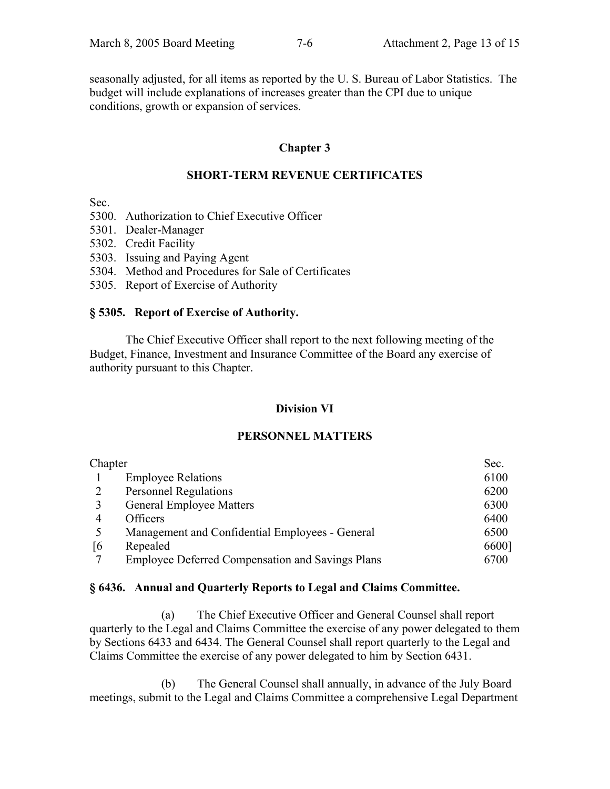seasonally adjusted, for all items as reported by the U. S. Bureau of Labor Statistics. The budget will include explanations of increases greater than the CPI due to unique conditions, growth or expansion of services.

# **Chapter 3**

# **SHORT-TERM REVENUE CERTIFICATES**

Sec.

- 5300. Authorization to Chief Executive Officer
- 5301. Dealer-Manager
- 5302. Credit Facility
- 5303. Issuing and Paying Agent
- 5304. Method and Procedures for Sale of Certificates
- 5305. Report of Exercise of Authority

## **§ 5305. Report of Exercise of Authority.**

 The Chief Executive Officer shall report to the next following meeting of the Budget, Finance, Investment and Insurance Committee of the Board any exercise of authority pursuant to this Chapter.

## **Division VI**

## **PERSONNEL MATTERS**

| Chapter |                                                         | Sec.  |
|---------|---------------------------------------------------------|-------|
|         | <b>Employee Relations</b>                               | 6100  |
|         | <b>Personnel Regulations</b>                            | 6200  |
|         | <b>General Employee Matters</b>                         | 6300  |
| 4       | Officers                                                | 6400  |
|         | Management and Confidential Employees - General         | 6500  |
| [6]     | Repealed                                                | 6600] |
|         | <b>Employee Deferred Compensation and Savings Plans</b> | 6700  |

## **§ 6436. Annual and Quarterly Reports to Legal and Claims Committee.**

 (a) The Chief Executive Officer and General Counsel shall report quarterly to the Legal and Claims Committee the exercise of any power delegated to them by Sections 6433 and 6434. The General Counsel shall report quarterly to the Legal and Claims Committee the exercise of any power delegated to him by Section 6431.

 (b) The General Counsel shall annually, in advance of the July Board meetings, submit to the Legal and Claims Committee a comprehensive Legal Department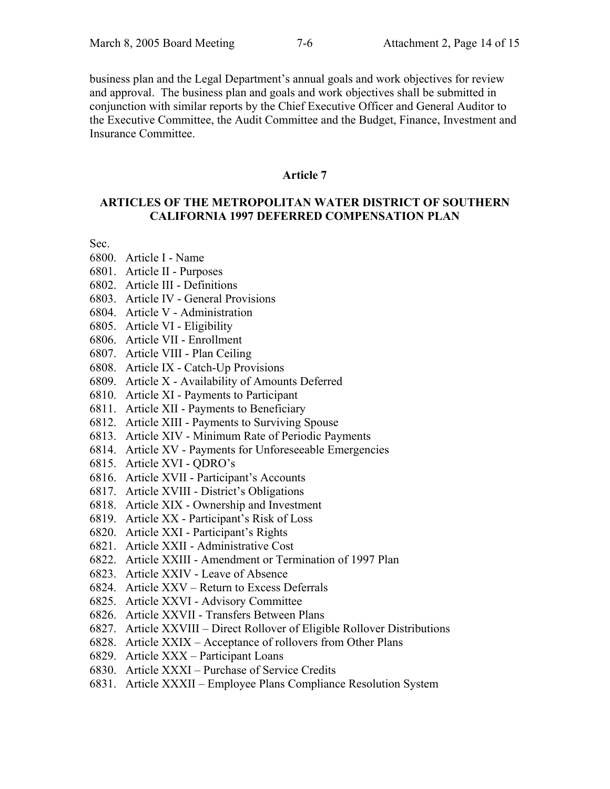business plan and the Legal Department's annual goals and work objectives for review and approval. The business plan and goals and work objectives shall be submitted in conjunction with similar reports by the Chief Executive Officer and General Auditor to the Executive Committee, the Audit Committee and the Budget, Finance, Investment and Insurance Committee.

#### **Article 7**

#### **ARTICLES OF THE METROPOLITAN WATER DISTRICT OF SOUTHERN CALIFORNIA 1997 DEFERRED COMPENSATION PLAN**

Sec.

- 6800. Article I Name
- 6801. Article II Purposes
- 6802. Article III Definitions
- 6803. Article IV General Provisions
- 6804. Article V Administration
- 6805. Article VI Eligibility
- 6806. Article VII Enrollment
- 6807. Article VIII Plan Ceiling
- 6808. Article IX Catch-Up Provisions
- 6809. Article X Availability of Amounts Deferred
- 6810. Article XI Payments to Participant
- 6811. Article XII Payments to Beneficiary
- 6812. Article XIII Payments to Surviving Spouse
- 6813. Article XIV Minimum Rate of Periodic Payments
- 6814. Article XV Payments for Unforeseeable Emergencies
- 6815. Article XVI QDRO's
- 6816. Article XVII Participant's Accounts
- 6817. Article XVIII District's Obligations
- 6818. Article XIX Ownership and Investment
- 6819. Article XX Participant's Risk of Loss
- 6820. Article XXI Participant's Rights
- 6821. Article XXII Administrative Cost
- 6822. Article XXIII Amendment or Termination of 1997 Plan
- 6823. Article XXIV Leave of Absence
- 6824. Article XXV Return to Excess Deferrals
- 6825. Article XXVI Advisory Committee
- 6826. Article XXVII Transfers Between Plans
- 6827. Article XXVIII Direct Rollover of Eligible Rollover Distributions
- 6828. Article XXIX Acceptance of rollovers from Other Plans
- 6829. Article XXX Participant Loans
- 6830. Article XXXI Purchase of Service Credits
- 6831. Article XXXII Employee Plans Compliance Resolution System